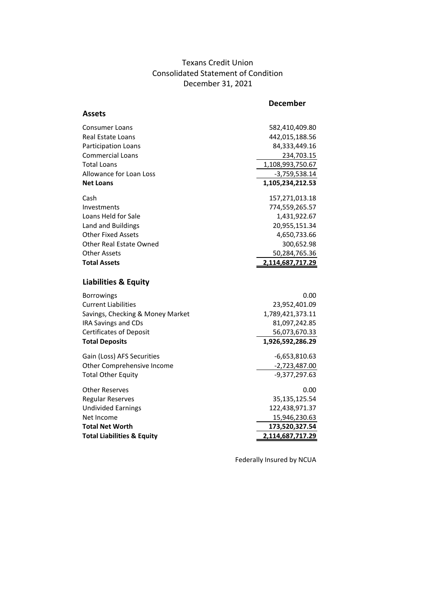## Texans Credit Union Consolidated Statement of Condition December 31, 2021

|                                       | <b>December</b>  |
|---------------------------------------|------------------|
| Assets                                |                  |
| Consumer Loans                        | 582,410,409.80   |
| Real Estate Loans                     | 442,015,188.56   |
| Participation Loans                   | 84,333,449.16    |
| <b>Commercial Loans</b>               | 234,703.15       |
| <b>Total Loans</b>                    | 1,108,993,750.67 |
| Allowance for Loan Loss               | $-3,759,538.14$  |
| <b>Net Loans</b>                      | 1,105,234,212.53 |
| Cash                                  | 157,271,013.18   |
| Investments                           | 774,559,265.57   |
| Loans Held for Sale                   | 1,431,922.67     |
| Land and Buildings                    | 20,955,151.34    |
| <b>Other Fixed Assets</b>             | 4,650,733.66     |
| Other Real Estate Owned               | 300,652.98       |
| <b>Other Assets</b>                   | 50,284,765.36    |
| <b>Total Assets</b>                   | 2,114,687,717.29 |
| <b>Liabilities &amp; Equity</b>       |                  |
| <b>Borrowings</b>                     | 0.00             |
| <b>Current Liabilities</b>            | 23,952,401.09    |
| Savings, Checking & Money Market      | 1,789,421,373.11 |
| <b>IRA Savings and CDs</b>            | 81,097,242.85    |
| <b>Certificates of Deposit</b>        | 56,073,670.33    |
| <b>Total Deposits</b>                 | 1,926,592,286.29 |
| Gain (Loss) AFS Securities            | $-6,653,810.63$  |
| Other Comprehensive Income            | $-2,723,487.00$  |
| <b>Total Other Equity</b>             | $-9,377,297.63$  |
| <b>Other Reserves</b>                 | 0.00             |
| <b>Regular Reserves</b>               | 35,135,125.54    |
| <b>Undivided Earnings</b>             | 122,438,971.37   |
| Net Income                            | 15,946,230.63    |
| <b>Total Net Worth</b>                | 173,520,327.54   |
| <b>Total Liabilities &amp; Equity</b> | 2,114,687,717.29 |
|                                       |                  |

Federally Insured by NCUA